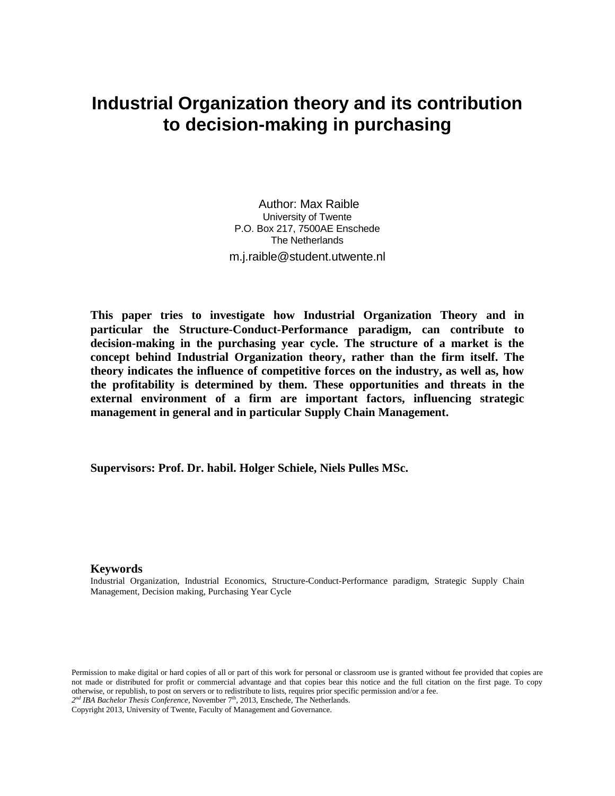# **Industrial Organization theory and its contribution to decision-making in purchasing**

Author: Max Raible University of Twente P.O. Box 217, 7500AE Enschede The Netherlands m.j.raible@student.utwente.nl

**This paper tries to investigate how Industrial Organization Theory and in particular the Structure-Conduct-Performance paradigm, can contribute to decision-making in the purchasing year cycle. The structure of a market is the concept behind Industrial Organization theory, rather than the firm itself. The theory indicates the influence of competitive forces on the industry, as well as, how the profitability is determined by them. These opportunities and threats in the external environment of a firm are important factors, influencing strategic management in general and in particular Supply Chain Management.**

**Supervisors: Prof. Dr. habil. Holger Schiele, Niels Pulles MSc.** 

#### **Keywords**

Industrial Organization, Industrial Economics, Structure-Conduct-Performance paradigm, Strategic Supply Chain Management, Decision making, Purchasing Year Cycle

Permission to make digital or hard copies of all or part of this work for personal or classroom use is granted without fee provided that copies are not made or distributed for profit or commercial advantage and that copies bear this notice and the full citation on the first page. To copy otherwise, or republish, to post on servers or to redistribute to lists, requires prior specific permission and/or a fee.

2<sup>nd</sup> IBA Bachelor Thesis Conference, November 7<sup>th</sup>, 2013, Enschede, The Netherlands.

Copyright 2013, University of Twente, Faculty of Management and Governance.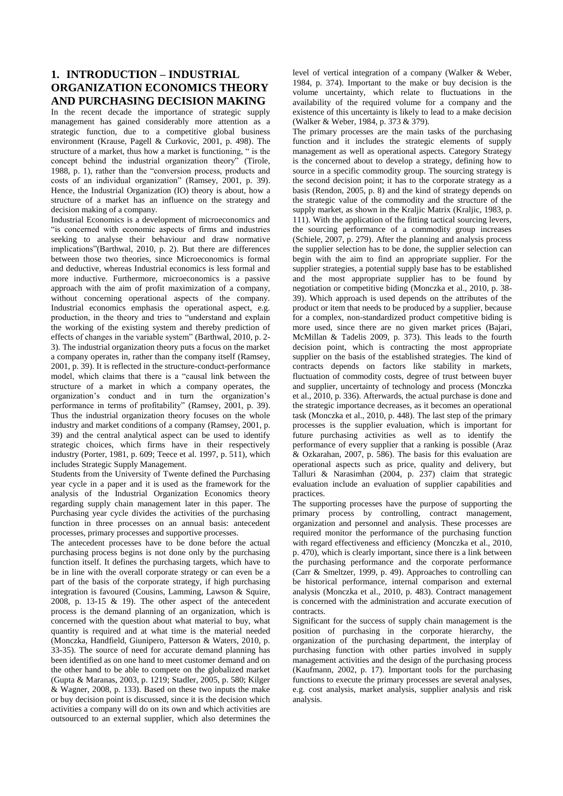### **1. INTRODUCTION – INDUSTRIAL ORGANIZATION ECONOMICS THEORY AND PURCHASING DECISION MAKING**

In the recent decade the importance of strategic supply management has gained considerably more attention as a strategic function, due to a competitive global business environment (Krause, Pagell & Curkovic, 2001, p. 498). The structure of a market, thus how a market is functioning, " is the concept behind the industrial organization theory" (Tirole, 1988, p. 1), rather than the "conversion process, products and costs of an individual organization" (Ramsey, 2001, p. 39). Hence, the Industrial Organization (IO) theory is about, how a structure of a market has an influence on the strategy and decision making of a company.

Industrial Economics is a development of microeconomics and "is concerned with economic aspects of firms and industries seeking to analyse their behaviour and draw normative implications"(Barthwal, 2010, p. 2). But there are differences between those two theories, since Microeconomics is formal and deductive, whereas Industrial economics is less formal and more inductive. Furthermore, microeconomics is a passive approach with the aim of profit maximization of a company, without concerning operational aspects of the company. Industrial economics emphasis the operational aspect, e.g. production, in the theory and tries to "understand and explain the working of the existing system and thereby prediction of effects of changes in the variable system" (Barthwal, 2010, p. 2- 3). The industrial organization theory puts a focus on the market a company operates in, rather than the company itself (Ramsey, 2001, p. 39). It is reflected in the structure-conduct-performance model, which claims that there is a "causal link between the structure of a market in which a company operates, the organization's conduct and in turn the organization's performance in terms of profitability" (Ramsey, 2001, p. 39). Thus the industrial organization theory focuses on the whole industry and market conditions of a company (Ramsey, 2001, p. 39) and the central analytical aspect can be used to identify strategic choices, which firms have in their respectively industry (Porter, 1981, p. 609; Teece et al. 1997, p. 511), which includes Strategic Supply Management.

Students from the University of Twente defined the Purchasing year cycle in a paper and it is used as the framework for the analysis of the Industrial Organization Economics theory regarding supply chain management later in this paper. The Purchasing year cycle divides the activities of the purchasing function in three processes on an annual basis: antecedent processes, primary processes and supportive processes.

The antecedent processes have to be done before the actual purchasing process begins is not done only by the purchasing function itself. It defines the purchasing targets, which have to be in line with the overall corporate strategy or can even be a part of the basis of the corporate strategy, if high purchasing integration is favoured (Cousins, Lamming, Lawson & Squire, 2008, p. 13-15 & 19). The other aspect of the antecedent process is the demand planning of an organization, which is concerned with the question about what material to buy, what quantity is required and at what time is the material needed (Monczka, Handfield, Giunipero, Patterson & Waters, 2010, p. 33-35). The source of need for accurate demand planning has been identified as on one hand to meet customer demand and on the other hand to be able to compete on the globalized market (Gupta & Maranas, 2003, p. 1219; Stadler, 2005, p. 580; Kilger & Wagner, 2008, p. 133). Based on these two inputs the make or buy decision point is discussed, since it is the decision which activities a company will do on its own and which activities are outsourced to an external supplier, which also determines the

level of vertical integration of a company (Walker & Weber, 1984, p. 374). Important to the make or buy decision is the volume uncertainty, which relate to fluctuations in the availability of the required volume for a company and the existence of this uncertainty is likely to lead to a make decision (Walker & Weber, 1984, p. 373 & 379).

The primary processes are the main tasks of the purchasing function and it includes the strategic elements of supply management as well as operational aspects. Category Strategy is the concerned about to develop a strategy, defining how to source in a specific commodity group. The sourcing strategy is the second decision point; it has to the corporate strategy as a basis (Rendon, 2005, p. 8) and the kind of strategy depends on the strategic value of the commodity and the structure of the supply market, as shown in the Kraljic Matrix (Kraljic, 1983, p. 111). With the application of the fitting tactical sourcing levers, the sourcing performance of a commodity group increases (Schiele, 2007, p. 279). After the planning and analysis process the supplier selection has to be done, the supplier selection can begin with the aim to find an appropriate supplier. For the supplier strategies, a potential supply base has to be established and the most appropriate supplier has to be found by negotiation or competitive biding (Monczka et al., 2010, p. 38- 39). Which approach is used depends on the attributes of the product or item that needs to be produced by a supplier, because for a complex, non-standardized product competitive biding is more used, since there are no given market prices (Bajari, McMillan & Tadelis 2009, p. 373). This leads to the fourth decision point, which is contracting the most appropriate supplier on the basis of the established strategies. The kind of contracts depends on factors like stability in markets, fluctuation of commodity costs, degree of trust between buyer and supplier, uncertainty of technology and process (Monczka et al., 2010, p. 336). Afterwards, the actual purchase is done and the strategic importance decreases, as it becomes an operational task (Monczka et al., 2010, p. 448). The last step of the primary processes is the supplier evaluation, which is important for future purchasing activities as well as to identify the performance of every supplier that a ranking is possible (Araz & Ozkarahan, 2007, p. 586). The basis for this evaluation are operational aspects such as price, quality and delivery, but Talluri & Narasimhan (2004, p. 237) claim that strategic evaluation include an evaluation of supplier capabilities and practices.

The supporting processes have the purpose of supporting the primary process by controlling, contract management, organization and personnel and analysis. These processes are required monitor the performance of the purchasing function with regard effectiveness and efficiency (Monczka et al., 2010, p. 470), which is clearly important, since there is a link between the purchasing performance and the corporate performance (Carr & Smeltzer, 1999, p. 49). Approaches to controlling can be historical performance, internal comparison and external analysis (Monczka et al., 2010, p. 483). Contract management is concerned with the administration and accurate execution of contracts.

Significant for the success of supply chain management is the position of purchasing in the corporate hierarchy, the organization of the purchasing department, the interplay of purchasing function with other parties involved in supply management activities and the design of the purchasing process (Kaufmann, 2002, p. 17). Important tools for the purchasing functions to execute the primary processes are several analyses, e.g. cost analysis, market analysis, supplier analysis and risk analysis.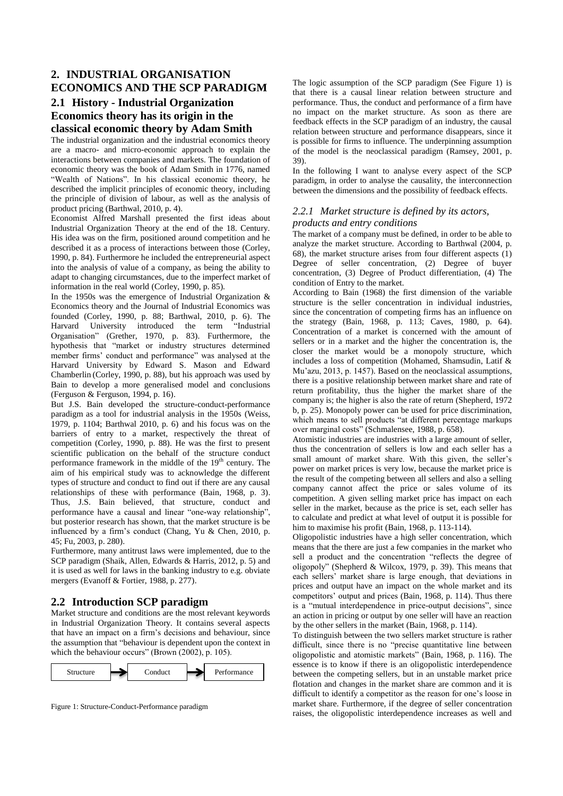# **2. INDUSTRIAL ORGANISATION ECONOMICS AND THE SCP PARADIGM**

# **2.1 History - Industrial Organization Economics theory has its origin in the classical economic theory by Adam Smith**

The industrial organization and the industrial economics theory are a macro- and micro-economic approach to explain the interactions between companies and markets. The foundation of economic theory was the book of Adam Smith in 1776, named "Wealth of Nations". In his classical economic theory, he described the implicit principles of economic theory, including the principle of division of labour, as well as the analysis of product pricing (Barthwal, 2010, p. 4).

Economist Alfred Marshall presented the first ideas about Industrial Organization Theory at the end of the 18. Century. His idea was on the firm, positioned around competition and he described it as a process of interactions between those (Corley, 1990, p. 84). Furthermore he included the entrepreneurial aspect into the analysis of value of a company, as being the ability to adapt to changing circumstances, due to the imperfect market of information in the real world (Corley, 1990, p. 85).

In the 1950s was the emergence of Industrial Organization & Economics theory and the Journal of Industrial Economics was founded (Corley, 1990, p. 88; Barthwal, 2010, p. 6). The Harvard University introduced the term "Industrial Organisation" (Grether, 1970, p. 83). Furthermore, the hypothesis that "market or industry structures determined member firms' conduct and performance" was analysed at the Harvard University by Edward S. Mason and Edward Chamberlin (Corley, 1990, p. 88), but his approach was used by Bain to develop a more generalised model and conclusions (Ferguson & Ferguson, 1994, p. 16).

But J.S. Bain developed the structure-conduct-performance paradigm as a tool for industrial analysis in the 1950s (Weiss, 1979, p. 1104; Barthwal 2010, p. 6) and his focus was on the barriers of entry to a market, respectively the threat of competition (Corley, 1990, p. 88). He was the first to present scientific publication on the behalf of the structure conduct performance framework in the middle of the 19<sup>th</sup> century. The aim of his empirical study was to acknowledge the different types of structure and conduct to find out if there are any causal relationships of these with performance (Bain, 1968, p. 3). Thus, J.S. Bain believed, that structure, conduct and performance have a causal and linear "one-way relationship", but posterior research has shown, that the market structure is be influenced by a firm's conduct (Chang, Yu & Chen, 2010, p. 45; Fu, 2003, p. 280).

Furthermore, many antitrust laws were implemented, due to the SCP paradigm (Shaik, Allen, Edwards & Harris, 2012, p. 5) and it is used as well for laws in the banking industry to e.g. obviate mergers (Evanoff & Fortier, 1988, p. 277).

### **2.2 Introduction SCP paradigm**

Market structure and conditions are the most relevant keywords in Industrial Organization Theory. It contains several aspects that have an impact on a firm's decisions and behaviour, since the assumption that "behaviour is dependent upon the context in which the behaviour occurs" (Brown (2002), p. 105).





The logic assumption of the SCP paradigm (See Figure 1) is that there is a causal linear relation between structure and performance. Thus, the conduct and performance of a firm have no impact on the market structure. As soon as there are feedback effects in the SCP paradigm of an industry, the causal relation between structure and performance disappears, since it is possible for firms to influence. The underpinning assumption of the model is the neoclassical paradigm (Ramsey, 2001, p. 39).

In the following I want to analyse every aspect of the SCP paradigm, in order to analyse the causality, the interconnection between the dimensions and the possibility of feedback effects.

### *2.2.1 Market structure is defined by its actors, products and entry conditions*

The market of a company must be defined, in order to be able to analyze the market structure. According to Barthwal (2004, p. 68), the market structure arises from four different aspects (1) Degree of seller concentration, (2) Degree of buyer concentration, (3) Degree of Product differentiation, (4) The condition of Entry to the market.

According to Bain (1968) the first dimension of the variable structure is the seller concentration in individual industries, since the concentration of competing firms has an influence on the strategy (Bain, 1968, p. 113; Caves, 1980, p. 64). Concentration of a market is concerned with the amount of sellers or in a market and the higher the concentration is, the closer the market would be a monopoly structure, which includes a loss of competition (Mohamed, Shamsudin, Latif & Mu'azu, 2013, p. 1457). Based on the neoclassical assumptions, there is a positive relationship between market share and rate of return profitability, thus the higher the market share of the company is; the higher is also the rate of return (Shepherd, 1972 b, p. 25). Monopoly power can be used for price discrimination, which means to sell products "at different percentage markups" over marginal costs" (Schmalensee, 1988, p. 658).

Atomistic industries are industries with a large amount of seller, thus the concentration of sellers is low and each seller has a small amount of market share. With this given, the seller's power on market prices is very low, because the market price is the result of the competing between all sellers and also a selling company cannot affect the price or sales volume of its competition. A given selling market price has impact on each seller in the market, because as the price is set, each seller has to calculate and predict at what level of output it is possible for him to maximise his profit (Bain, 1968, p. 113-114).

Oligopolistic industries have a high seller concentration, which means that the there are just a few companies in the market who sell a product and the concentration "reflects the degree of oligopoly" (Shepherd & Wilcox, 1979, p. 39). This means that each sellers' market share is large enough, that deviations in prices and output have an impact on the whole market and its competitors' output and prices (Bain, 1968, p. 114). Thus there is a "mutual interdependence in price-output decisions", since an action in pricing or output by one seller will have an reaction by the other sellers in the market (Bain, 1968, p. 114).

To distinguish between the two sellers market structure is rather difficult, since there is no "precise quantitative line between oligopolistic and atomistic markets" (Bain, 1968, p. 116). The essence is to know if there is an oligopolistic interdependence between the competing sellers, but in an unstable market price flotation and changes in the market share are common and it is difficult to identify a competitor as the reason for one's loose in market share. Furthermore, if the degree of seller concentration raises, the oligopolistic interdependence increases as well and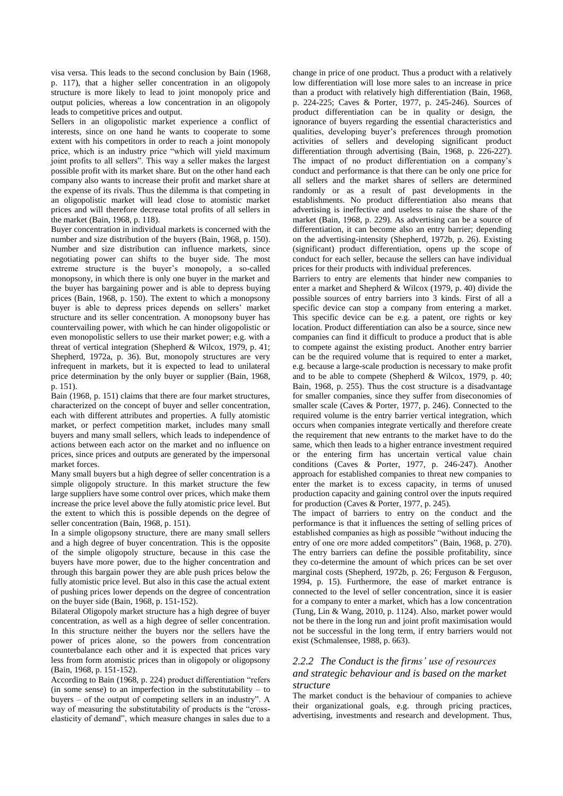visa versa. This leads to the second conclusion by Bain (1968, p. 117), that a higher seller concentration in an oligopoly structure is more likely to lead to joint monopoly price and output policies, whereas a low concentration in an oligopoly leads to competitive prices and output.

Sellers in an oligopolistic market experience a conflict of interests, since on one hand he wants to cooperate to some extent with his competitors in order to reach a joint monopoly price, which is an industry price "which will yield maximum joint profits to all sellers". This way a seller makes the largest possible profit with its market share. But on the other hand each company also wants to increase their profit and market share at the expense of its rivals. Thus the dilemma is that competing in an oligopolistic market will lead close to atomistic market prices and will therefore decrease total profits of all sellers in the market (Bain, 1968, p. 118).

Buyer concentration in individual markets is concerned with the number and size distribution of the buyers (Bain, 1968, p. 150). Number and size distribution can influence markets, since negotiating power can shifts to the buyer side. The most extreme structure is the buyer's monopoly, a so-called monopsony, in which there is only one buyer in the market and the buyer has bargaining power and is able to depress buying prices (Bain, 1968, p. 150). The extent to which a monopsony buyer is able to depress prices depends on sellers' market structure and its seller concentration. A monopsony buyer has countervailing power, with which he can hinder oligopolistic or even monopolistic sellers to use their market power; e.g. with a threat of vertical integration (Shepherd & Wilcox, 1979, p. 41; Shepherd, 1972a, p. 36). But, monopoly structures are very infrequent in markets, but it is expected to lead to unilateral price determination by the only buyer or supplier (Bain, 1968, p. 151).

Bain (1968, p. 151) claims that there are four market structures, characterized on the concept of buyer and seller concentration, each with different attributes and properties. A fully atomistic market, or perfect competition market, includes many small buyers and many small sellers, which leads to independence of actions between each actor on the market and no influence on prices, since prices and outputs are generated by the impersonal market forces.

Many small buyers but a high degree of seller concentration is a simple oligopoly structure. In this market structure the few large suppliers have some control over prices, which make them increase the price level above the fully atomistic price level. But the extent to which this is possible depends on the degree of seller concentration (Bain, 1968, p. 151).

In a simple oligopsony structure, there are many small sellers and a high degree of buyer concentration. This is the opposite of the simple oligopoly structure, because in this case the buyers have more power, due to the higher concentration and through this bargain power they are able push prices below the fully atomistic price level. But also in this case the actual extent of pushing prices lower depends on the degree of concentration on the buyer side (Bain, 1968, p. 151-152).

Bilateral Oligopoly market structure has a high degree of buyer concentration, as well as a high degree of seller concentration. In this structure neither the buyers nor the sellers have the power of prices alone, so the powers from concentration counterbalance each other and it is expected that prices vary less from form atomistic prices than in oligopoly or oligopsony (Bain, 1968, p. 151-152).

According to Bain (1968, p. 224) product differentiation "refers (in some sense) to an imperfection in the substitutability  $-$  to buyers – of the output of competing sellers in an industry". A way of measuring the substitutability of products is the "crosselasticity of demand", which measure changes in sales due to a

change in price of one product. Thus a product with a relatively low differentiation will lose more sales to an increase in price than a product with relatively high differentiation (Bain, 1968, p. 224-225; Caves & Porter, 1977, p. 245-246). Sources of product differentiation can be in quality or design, the ignorance of buyers regarding the essential characteristics and qualities, developing buyer's preferences through promotion activities of sellers and developing significant product differentiation through advertising (Bain, 1968, p. 226-227). The impact of no product differentiation on a company's conduct and performance is that there can be only one price for all sellers and the market shares of sellers are determined randomly or as a result of past developments in the establishments. No product differentiation also means that advertising is ineffective and useless to raise the share of the market (Bain, 1968, p. 229). As advertising can be a source of differentiation, it can become also an entry barrier; depending on the advertising-intensity (Shepherd, 1972b, p. 26). Existing (significant) product differentiation, opens up the scope of conduct for each seller, because the sellers can have individual prices for their products with individual preferences.

Barriers to entry are elements that hinder new companies to enter a market and Shepherd & Wilcox (1979, p. 40) divide the possible sources of entry barriers into 3 kinds. First of all a specific device can stop a company from entering a market. This specific device can be e.g. a patent, ore rights or key location. Product differentiation can also be a source, since new companies can find it difficult to produce a product that is able to compete against the existing product. Another entry barrier can be the required volume that is required to enter a market, e.g. because a large-scale production is necessary to make profit and to be able to compete (Shepherd & Wilcox, 1979, p. 40; Bain, 1968, p. 255). Thus the cost structure is a disadvantage for smaller companies, since they suffer from diseconomies of smaller scale (Caves & Porter, 1977, p. 246). Connected to the required volume is the entry barrier vertical integration, which occurs when companies integrate vertically and therefore create the requirement that new entrants to the market have to do the same, which then leads to a higher entrance investment required or the entering firm has uncertain vertical value chain conditions (Caves & Porter, 1977, p. 246-247). Another approach for established companies to threat new companies to enter the market is to excess capacity, in terms of unused production capacity and gaining control over the inputs required for production (Caves & Porter, 1977, p. 245).

The impact of barriers to entry on the conduct and the performance is that it influences the setting of selling prices of established companies as high as possible "without inducing the entry of one ore more added competitors" (Bain, 1968, p. 270). The entry barriers can define the possible profitability, since they co-determine the amount of which prices can be set over marginal costs (Shepherd, 1972b, p. 26; Ferguson & Ferguson, 1994, p. 15). Furthermore, the ease of market entrance is connected to the level of seller concentration, since it is easier for a company to enter a market, which has a low concentration (Tung, Lin & Wang, 2010, p. 1124). Also, market power would not be there in the long run and joint profit maximisation would not be successful in the long term, if entry barriers would not exist (Schmalensee, 1988, p. 663).

### *2.2.2 The Conduct is the firms' use of resources and strategic behaviour and is based on the market structure*

The market conduct is the behaviour of companies to achieve their organizational goals, e.g. through pricing practices, advertising, investments and research and development. Thus,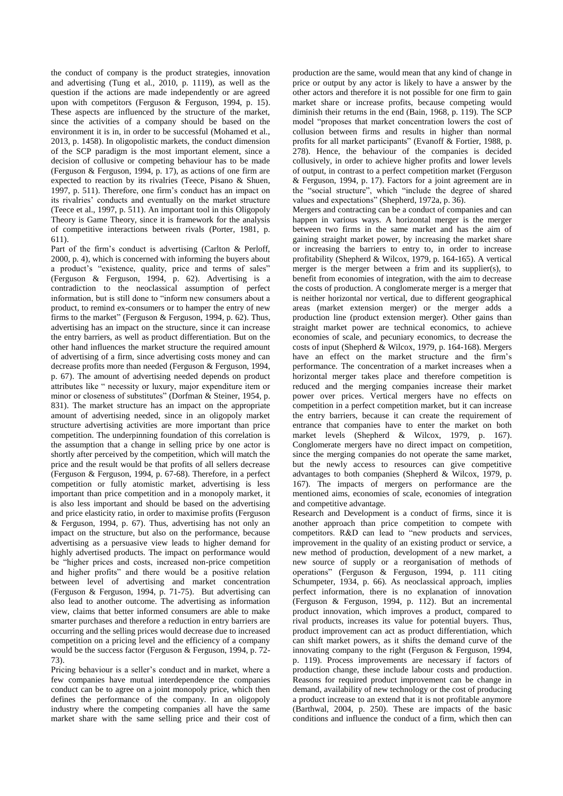the conduct of company is the product strategies, innovation and advertising (Tung et al., 2010, p. 1119), as well as the question if the actions are made independently or are agreed upon with competitors (Ferguson & Ferguson, 1994, p. 15). These aspects are influenced by the structure of the market, since the activities of a company should be based on the environment it is in, in order to be successful (Mohamed et al., 2013, p. 1458). In oligopolistic markets, the conduct dimension of the SCP paradigm is the most important element, since a decision of collusive or competing behaviour has to be made (Ferguson & Ferguson, 1994, p. 17), as actions of one firm are expected to reaction by its rivalries (Teece, Pisano & Shuen, 1997, p. 511). Therefore, one firm's conduct has an impact on its rivalries' conducts and eventually on the market structure (Teece et al., 1997, p. 511). An important tool in this Oligopoly Theory is Game Theory, since it is framework for the analysis of competitive interactions between rivals (Porter, 1981, p. 611).

Part of the firm's conduct is advertising (Carlton & Perloff, 2000, p. 4), which is concerned with informing the buyers about a product's "existence, quality, price and terms of sales" (Ferguson & Ferguson, 1994, p. 62). Advertising is a contradiction to the neoclassical assumption of perfect information, but is still done to "inform new consumers about a product, to remind ex-consumers or to hamper the entry of new firms to the market" (Ferguson & Ferguson, 1994, p. 62). Thus, advertising has an impact on the structure, since it can increase the entry barriers, as well as product differentiation. But on the other hand influences the market structure the required amount of advertising of a firm, since advertising costs money and can decrease profits more than needed (Ferguson & Ferguson, 1994, p. 67). The amount of advertising needed depends on product attributes like " necessity or luxury, major expenditure item or minor or closeness of substitutes" (Dorfman & Steiner, 1954, p. 831). The market structure has an impact on the appropriate amount of advertising needed, since in an oligopoly market structure advertising activities are more important than price competition. The underpinning foundation of this correlation is the assumption that a change in selling price by one actor is shortly after perceived by the competition, which will match the price and the result would be that profits of all sellers decrease (Ferguson & Ferguson, 1994, p. 67-68). Therefore, in a perfect competition or fully atomistic market, advertising is less important than price competition and in a monopoly market, it is also less important and should be based on the advertising and price elasticity ratio, in order to maximise profits (Ferguson & Ferguson, 1994, p. 67). Thus, advertising has not only an impact on the structure, but also on the performance, because advertising as a persuasive view leads to higher demand for highly advertised products. The impact on performance would be "higher prices and costs, increased non-price competition and higher profits" and there would be a positive relation between level of advertising and market concentration (Ferguson & Ferguson, 1994, p. 71-75). But advertising can also lead to another outcome. The advertising as information view, claims that better informed consumers are able to make smarter purchases and therefore a reduction in entry barriers are occurring and the selling prices would decrease due to increased competition on a pricing level and the efficiency of a company would be the success factor (Ferguson & Ferguson, 1994, p. 72- 73).

Pricing behaviour is a seller's conduct and in market, where a few companies have mutual interdependence the companies conduct can be to agree on a joint monopoly price, which then defines the performance of the company. In an oligopoly industry where the competing companies all have the same market share with the same selling price and their cost of

production are the same, would mean that any kind of change in price or output by any actor is likely to have a answer by the other actors and therefore it is not possible for one firm to gain market share or increase profits, because competing would diminish their returns in the end (Bain, 1968, p. 119). The SCP model "proposes that market concentration lowers the cost of collusion between firms and results in higher than normal profits for all market participants" (Evanoff & Fortier, 1988, p. 278). Hence, the behaviour of the companies is decided collusively, in order to achieve higher profits and lower levels of output, in contrast to a perfect competition market (Ferguson & Ferguson, 1994, p. 17). Factors for a joint agreement are in the "social structure", which "include the degree of shared values and expectations" (Shepherd, 1972a, p. 36).

Mergers and contracting can be a conduct of companies and can happen in various ways. A horizontal merger is the merger between two firms in the same market and has the aim of gaining straight market power, by increasing the market share or increasing the barriers to entry to, in order to increase profitability (Shepherd & Wilcox, 1979, p. 164-165). A vertical merger is the merger between a frim and its supplier(s), to benefit from economies of integration, with the aim to decrease the costs of production. A conglomerate merger is a merger that is neither horizontal nor vertical, due to different geographical areas (market extension merger) or the merger adds a production line (product extension merger). Other gains than straight market power are technical economics, to achieve economies of scale, and pecuniary economics, to decrease the costs of input (Shepherd & Wilcox, 1979, p. 164-168). Mergers have an effect on the market structure and the firm's performance. The concentration of a market increases when a horizontal merger takes place and therefore competition is reduced and the merging companies increase their market power over prices. Vertical mergers have no effects on competition in a perfect competition market, but it can increase the entry barriers, because it can create the requirement of entrance that companies have to enter the market on both market levels (Shepherd & Wilcox, 1979, p. 167). Conglomerate mergers have no direct impact on competition, since the merging companies do not operate the same market, but the newly access to resources can give competitive advantages to both companies (Shepherd & Wilcox, 1979, p. 167). The impacts of mergers on performance are the mentioned aims, economies of scale, economies of integration and competitive advantage.

Research and Development is a conduct of firms, since it is another approach than price competition to compete with competitors. R&D can lead to "new products and services, improvement in the quality of an existing product or service, a new method of production, development of a new market, a new source of supply or a reorganisation of methods of operations" (Ferguson & Ferguson, 1994, p. 111 citing Schumpeter, 1934, p. 66). As neoclassical approach, implies perfect information, there is no explanation of innovation (Ferguson & Ferguson, 1994, p. 112). But an incremental product innovation, which improves a product, compared to rival products, increases its value for potential buyers. Thus, product improvement can act as product differentiation, which can shift market powers, as it shifts the demand curve of the innovating company to the right (Ferguson & Ferguson, 1994, p. 119). Process improvements are necessary if factors of production change, these include labour costs and production. Reasons for required product improvement can be change in demand, availability of new technology or the cost of producing a product increase to an extend that it is not profitable anymore (Barthwal, 2004, p. 250). These are impacts of the basic conditions and influence the conduct of a firm, which then can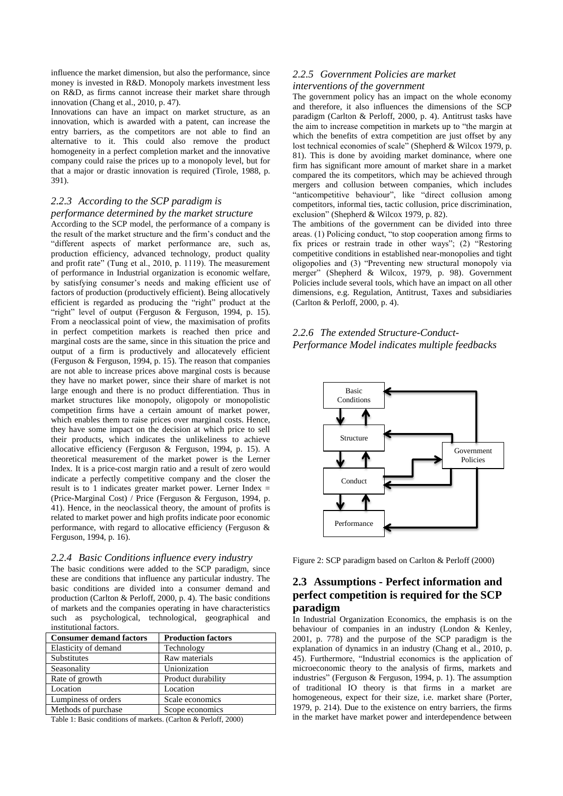influence the market dimension, but also the performance, since money is invested in R&D. Monopoly markets investment less on R&D, as firms cannot increase their market share through innovation (Chang et al., 2010, p. 47).

Innovations can have an impact on market structure, as an innovation, which is awarded with a patent, can increase the entry barriers, as the competitors are not able to find an alternative to it. This could also remove the product homogeneity in a perfect completion market and the innovative company could raise the prices up to a monopoly level, but for that a major or drastic innovation is required (Tirole, 1988, p. 391).

### *2.2.3 According to the SCP paradigm is*

#### *performance determined by the market structure*

According to the SCP model, the performance of a company is the result of the market structure and the firm's conduct and the "different aspects of market performance are, such as, production efficiency, advanced technology, product quality and profit rate" (Tung et al., 2010, p. 1119). The measurement of performance in Industrial organization is economic welfare, by satisfying consumer's needs and making efficient use of factors of production (productively efficient). Being allocatively efficient is regarded as producing the "right" product at the "right" level of output (Ferguson & Ferguson, 1994, p. 15). From a neoclassical point of view, the maximisation of profits in perfect competition markets is reached then price and marginal costs are the same, since in this situation the price and output of a firm is productively and allocatevely efficient (Ferguson & Ferguson, 1994, p. 15). The reason that companies are not able to increase prices above marginal costs is because they have no market power, since their share of market is not large enough and there is no product differentiation. Thus in market structures like monopoly, oligopoly or monopolistic competition firms have a certain amount of market power, which enables them to raise prices over marginal costs. Hence, they have some impact on the decision at which price to sell their products, which indicates the unlikeliness to achieve allocative efficiency (Ferguson & Ferguson, 1994, p. 15). A theoretical measurement of the market power is the Lerner Index. It is a price-cost margin ratio and a result of zero would indicate a perfectly competitive company and the closer the result is to 1 indicates greater market power. Lerner Index  $=$ (Price-Marginal Cost) / Price (Ferguson & Ferguson, 1994, p. 41). Hence, in the neoclassical theory, the amount of profits is related to market power and high profits indicate poor economic performance, with regard to allocative efficiency (Ferguson & Ferguson, 1994, p. 16).

#### *2.2.4 Basic Conditions influence every industry*

The basic conditions were added to the SCP paradigm, since these are conditions that influence any particular industry. The basic conditions are divided into a consumer demand and production (Carlton & Perloff, 2000, p. 4). The basic conditions of markets and the companies operating in have characteristics such as psychological, technological, geographical and institutional factors.

| <b>Consumer demand factors</b> | <b>Production factors</b> |
|--------------------------------|---------------------------|
| Elasticity of demand           | Technology                |
| Substitutes                    | Raw materials             |
| Seasonality                    | Unionization              |
| Rate of growth                 | Product durability        |
| Location                       | Location                  |
| Lumpiness of orders            | Scale economics           |
| Methods of purchase            | Scope economics           |
| $\sim$                         |                           |

Table 1: Basic conditions of markets. (Carlton & Perloff, 2000)

### *2.2.5 Government Policies are market interventions of the government*

The government policy has an impact on the whole economy and therefore, it also influences the dimensions of the SCP paradigm (Carlton & Perloff, 2000, p. 4). Antitrust tasks have the aim to increase competition in markets up to "the margin at which the benefits of extra competition are just offset by any lost technical economies of scale" (Shepherd & Wilcox 1979, p. 81). This is done by avoiding market dominance, where one firm has significant more amount of market share in a market compared the its competitors, which may be achieved through mergers and collusion between companies, which includes "anticompetitive behaviour", like "direct collusion among competitors, informal ties, tactic collusion, price discrimination, exclusion" (Shepherd & Wilcox 1979, p. 82).

The ambitions of the government can be divided into three areas. (1) Policing conduct, "to stop cooperation among firms to fix prices or restrain trade in other ways"; (2) "Restoring competitive conditions in established near-monopolies and tight oligopolies and (3) "Preventing new structural monopoly via merger" (Shepherd & Wilcox, 1979, p. 98). Government Policies include several tools, which have an impact on all other dimensions, e.g. Regulation, Antitrust, Taxes and subsidiaries (Carlton & Perloff, 2000, p. 4).

### *2.2.6 The extended Structure-Conduct-Performance Model indicates multiple feedbacks*



Figure 2: SCP paradigm based on Carlton & Perloff (2000)

### **2.3 Assumptions - Perfect information and perfect competition is required for the SCP paradigm**

In Industrial Organization Economics, the emphasis is on the behaviour of companies in an industry (London & Kenley, 2001, p. 778) and the purpose of the SCP paradigm is the explanation of dynamics in an industry (Chang et al., 2010, p. 45). Furthermore, "Industrial economics is the application of microeconomic theory to the analysis of firms, markets and industries" (Ferguson & Ferguson, 1994, p. 1). The assumption of traditional IO theory is that firms in a market are homogeneous, expect for their size, i.e. market share (Porter, 1979, p. 214). Due to the existence on entry barriers, the firms in the market have market power and interdependence between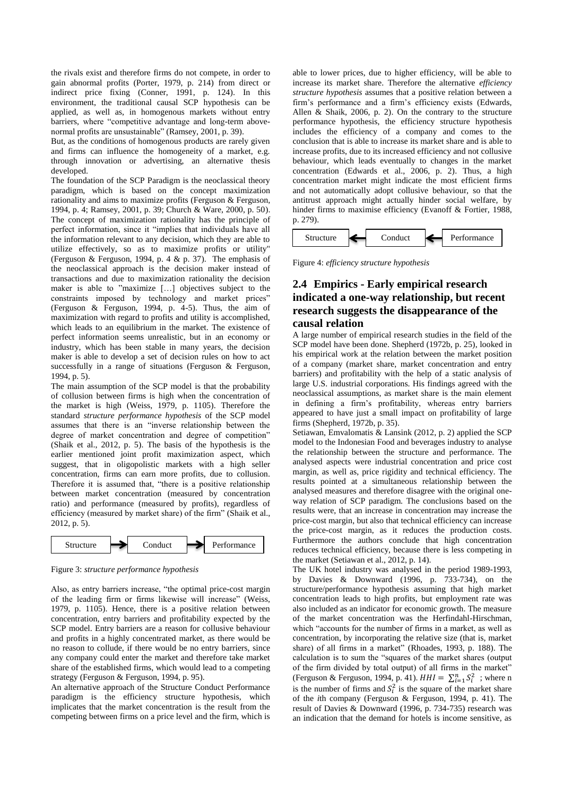the rivals exist and therefore firms do not compete, in order to gain abnormal profits (Porter, 1979, p. 214) from direct or indirect price fixing (Conner, 1991, p. 124). In this environment, the traditional causal SCP hypothesis can be applied, as well as, in homogenous markets without entry barriers, where "competitive advantage and long-term abovenormal profits are unsustainable" (Ramsey, 2001, p. 39).

But, as the conditions of homogenous products are rarely given and firms can influence the homogeneity of a market, e.g. through innovation or advertising, an alternative thesis developed.

The foundation of the SCP Paradigm is the neoclassical theory paradigm, which is based on the concept maximization rationality and aims to maximize profits (Ferguson & Ferguson, 1994, p. 4; Ramsey, 2001, p. 39; Church & Ware, 2000, p. 50). The concept of maximization rationality has the principle of perfect information, since it "implies that individuals have all the information relevant to any decision, which they are able to utilize effectively, so as to maximize profits or utility" (Ferguson & Ferguson, 1994, p. 4 & p. 37). The emphasis of the neoclassical approach is the decision maker instead of transactions and due to maximization rationality the decision maker is able to "maximize […] objectives subject to the constraints imposed by technology and market prices" (Ferguson & Ferguson, 1994, p. 4-5). Thus, the aim of maximization with regard to profits and utility is accomplished, which leads to an equilibrium in the market. The existence of perfect information seems unrealistic, but in an economy or industry, which has been stable in many years, the decision maker is able to develop a set of decision rules on how to act successfully in a range of situations (Ferguson & Ferguson, 1994, p. 5).

The main assumption of the SCP model is that the probability of collusion between firms is high when the concentration of the market is high (Weiss, 1979, p. 1105). Therefore the standard *structure performance hypothesis* of the SCP model assumes that there is an "inverse relationship between the degree of market concentration and degree of competition" (Shaik et al., 2012, p. 5). The basis of the hypothesis is the earlier mentioned joint profit maximization aspect, which suggest, that in oligopolistic markets with a high seller concentration, firms can earn more profits, due to collusion. Therefore it is assumed that, "there is a positive relationship between market concentration (measured by concentration ratio) and performance (measured by profits), regardless of efficiency (measured by market share) of the firm" (Shaik et al., 2012, p. 5).



Figure 3: *structure performance hypothesis*

Also, as entry barriers increase, "the optimal price-cost margin of the leading firm or firms likewise will increase" (Weiss, 1979, p. 1105). Hence, there is a positive relation between concentration, entry barriers and profitability expected by the SCP model. Entry barriers are a reason for collusive behaviour and profits in a highly concentrated market, as there would be no reason to collude, if there would be no entry barriers, since any company could enter the market and therefore take market share of the established firms, which would lead to a competing strategy (Ferguson & Ferguson, 1994, p. 95).

An alternative approach of the Structure Conduct Performance paradigm is the efficiency structure hypothesis, which implicates that the market concentration is the result from the competing between firms on a price level and the firm, which is

able to lower prices, due to higher efficiency, will be able to increase its market share. Therefore the alternative *efficiency structure hypothesis* assumes that a positive relation between a firm's performance and a firm's efficiency exists (Edwards, Allen  $\&$  Shaik, 2006, p. 2). On the contrary to the structure performance hypothesis, the efficiency structure hypothesis includes the efficiency of a company and comes to the conclusion that is able to increase its market share and is able to increase profits, due to its increased efficiency and not collusive behaviour, which leads eventually to changes in the market concentration (Edwards et al., 2006, p. 2). Thus, a high concentration market might indicate the most efficient firms and not automatically adopt collusive behaviour, so that the antitrust approach might actually hinder social welfare, by hinder firms to maximise efficiency (Evanoff & Fortier, 1988, p. 279).



Figure 4: *efficiency structure hypothesis*

# **2.4 Empirics - Early empirical research indicated a one-way relationship, but recent research suggests the disappearance of the causal relation**

A large number of empirical research studies in the field of the SCP model have been done. Shepherd (1972b, p. 25), looked in his empirical work at the relation between the market position of a company (market share, market concentration and entry barriers) and profitability with the help of a static analysis of large U.S. industrial corporations. His findings agreed with the neoclassical assumptions, as market share is the main element in defining a firm's profitability, whereas entry barriers appeared to have just a small impact on profitability of large firms (Shepherd, 1972b, p. 35).

Setiawan, Emvalomatis & Lansink (2012, p. 2) applied the SCP model to the Indonesian Food and beverages industry to analyse the relationship between the structure and performance. The analysed aspects were industrial concentration and price cost margin, as well as, price rigidity and technical efficiency. The results pointed at a simultaneous relationship between the analysed measures and therefore disagree with the original oneway relation of SCP paradigm. The conclusions based on the results were, that an increase in concentration may increase the price-cost margin, but also that technical efficiency can increase the price-cost margin, as it reduces the production costs. Furthermore the authors conclude that high concentration reduces technical efficiency, because there is less competing in the market (Setiawan et al., 2012, p. 14).

The UK hotel industry was analysed in the period 1989-1993, by Davies & Downward (1996, p. 733-734), on the structure/performance hypothesis assuming that high market concentration leads to high profits, but employment rate was also included as an indicator for economic growth. The measure of the market concentration was the Herfindahl-Hirschman, which "accounts for the number of firms in a market, as well as concentration, by incorporating the relative size (that is, market share) of all firms in a market" (Rhoades, 1993, p. 188). The calculation is to sum the "squares of the market shares (output of the firm divided by total output) of all firms in the market" (Ferguson & Ferguson, 1994, p. 41).  $HHI = \sum_{i=1}^{n} S_i^2$ ; where n is the number of firms and  $S_i^2$  is the square of the market share of the *i*th company (Ferguson & Ferguson, 1994, p. 41). The result of Davies & Downward (1996, p. 734-735) research was an indication that the demand for hotels is income sensitive, as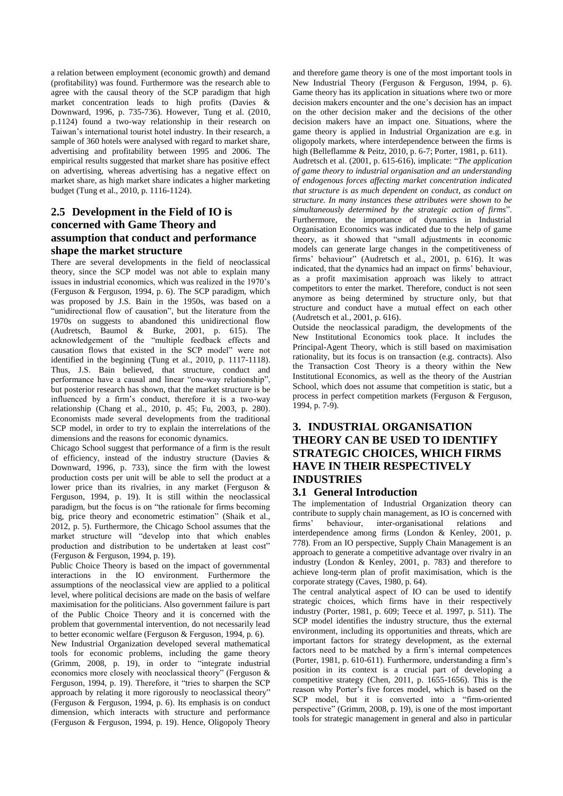a relation between employment (economic growth) and demand (profitability) was found. Furthermore was the research able to agree with the causal theory of the SCP paradigm that high market concentration leads to high profits (Davies & Downward, 1996, p. 735-736). However, Tung et al. (2010, p.1124) found a two-way relationship in their research on Taiwan's international tourist hotel industry. In their research, a sample of 360 hotels were analysed with regard to market share, advertising and profitability between 1995 and 2006. The empirical results suggested that market share has positive effect on advertising, whereas advertising has a negative effect on market share, as high market share indicates a higher marketing budget (Tung et al., 2010, p. 1116-1124).

### **2.5 Development in the Field of IO is concerned with Game Theory and assumption that conduct and performance shape the market structure**

There are several developments in the field of neoclassical theory, since the SCP model was not able to explain many issues in industrial economics, which was realized in the 1970's (Ferguson & Ferguson, 1994, p. 6). The SCP paradigm, which was proposed by J.S. Bain in the 1950s, was based on a "unidirectional flow of causation", but the literature from the 1970s on suggests to abandoned this unidirectional flow (Audretsch, Baumol & Burke, 2001, p. 615). The acknowledgement of the "multiple feedback effects and causation flows that existed in the SCP model" were not identified in the beginning (Tung et al., 2010, p. 1117-1118). Thus, J.S. Bain believed, that structure, conduct and performance have a causal and linear "one-way relationship", but posterior research has shown, that the market structure is be influenced by a firm's conduct, therefore it is a two-way relationship (Chang et al., 2010, p. 45; Fu, 2003, p. 280). Economists made several developments from the traditional SCP model, in order to try to explain the interrelations of the dimensions and the reasons for economic dynamics.

Chicago School suggest that performance of a firm is the result of efficiency, instead of the industry structure (Davies & Downward, 1996, p. 733), since the firm with the lowest production costs per unit will be able to sell the product at a lower price than its rivalries, in any market (Ferguson & Ferguson, 1994, p. 19). It is still within the neoclassical paradigm, but the focus is on "the rationale for firms becoming big, price theory and econometric estimation" (Shaik et al., 2012, p. 5). Furthermore, the Chicago School assumes that the market structure will "develop into that which enables production and distribution to be undertaken at least cost" (Ferguson & Ferguson, 1994, p. 19).

Public Choice Theory is based on the impact of governmental interactions in the IO environment. Furthermore the assumptions of the neoclassical view are applied to a political level, where political decisions are made on the basis of welfare maximisation for the politicians. Also government failure is part of the Public Choice Theory and it is concerned with the problem that governmental intervention, do not necessarily lead to better economic welfare (Ferguson & Ferguson, 1994, p. 6).

New Industrial Organization developed several mathematical tools for economic problems, including the game theory (Grimm, 2008, p. 19), in order to "integrate industrial economics more closely with neoclassical theory" (Ferguson & Ferguson, 1994, p. 19). Therefore, it "tries to sharpen the SCP approach by relating it more rigorously to neoclassical theory" (Ferguson & Ferguson, 1994, p. 6). Its emphasis is on conduct dimension, which interacts with structure and performance (Ferguson & Ferguson, 1994, p. 19). Hence, Oligopoly Theory

and therefore game theory is one of the most important tools in New Industrial Theory (Ferguson & Ferguson, 1994, p. 6). Game theory has its application in situations where two or more decision makers encounter and the one's decision has an impact on the other decision maker and the decisions of the other decision makers have an impact one. Situations, where the game theory is applied in Industrial Organization are e.g. in oligopoly markets, where interdependence between the firms is high (Belleflamme & Peitz, 2010, p. 6-7; Porter, 1981, p. 611).

Audretsch et al. (2001, p. 615-616), implicate: "*The application of game theory to industrial organisation and an understanding of endogenous forces affecting market concentration indicated that structure is as much dependent on conduct, as conduct on structure. In many instances these attributes were shown to be simultaneously determined by the strategic action of firms*". Furthermore, the importance of dynamics in Industrial Organisation Economics was indicated due to the help of game theory, as it showed that "small adjustments in economic models can generate large changes in the competitiveness of firms' behaviour" (Audretsch et al., 2001, p. 616). It was indicated, that the dynamics had an impact on firms' behaviour, as a profit maximisation approach was likely to attract competitors to enter the market. Therefore, conduct is not seen anymore as being determined by structure only, but that structure and conduct have a mutual effect on each other (Audretsch et al., 2001, p. 616).

Outside the neoclassical paradigm, the developments of the New Institutional Economics took place. It includes the Principal-Agent Theory, which is still based on maximisation rationality, but its focus is on transaction (e.g. contracts). Also the Transaction Cost Theory is a theory within the New Institutional Economics, as well as the theory of the Austrian School, which does not assume that competition is static, but a process in perfect competition markets (Ferguson & Ferguson, 1994, p. 7-9).

# **3. INDUSTRIAL ORGANISATION THEORY CAN BE USED TO IDENTIFY STRATEGIC CHOICES, WHICH FIRMS HAVE IN THEIR RESPECTIVELY INDUSTRIES**

### **3.1 General Introduction**

The implementation of Industrial Organization theory can contribute to supply chain management, as IO is concerned with firms' behaviour, inter-organisational relations and interdependence among firms (London & Kenley, 2001, p. 778). From an IO perspective, Supply Chain Management is an approach to generate a competitive advantage over rivalry in an industry (London & Kenley, 2001, p. 783) and therefore to achieve long-term plan of profit maximisation, which is the corporate strategy (Caves, 1980, p. 64).

The central analytical aspect of IO can be used to identify strategic choices, which firms have in their respectively industry (Porter, 1981, p. 609; Teece et al. 1997, p. 511). The SCP model identifies the industry structure, thus the external environment, including its opportunities and threats, which are important factors for strategy development, as the external factors need to be matched by a firm's internal competences (Porter, 1981, p. 610-611). Furthermore, understanding a firm's position in its context is a crucial part of developing a competitive strategy (Chen, 2011, p. 1655-1656). This is the reason why Porter's five forces model, which is based on the SCP model, but it is converted into a "firm-oriented perspective" (Grimm, 2008, p. 19), is one of the most important tools for strategic management in general and also in particular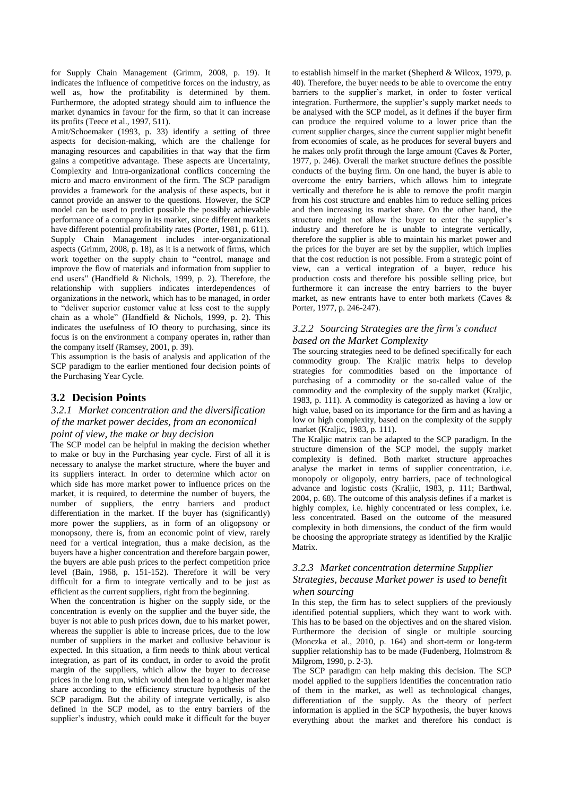for Supply Chain Management (Grimm, 2008, p. 19). It indicates the influence of competitive forces on the industry, as well as, how the profitability is determined by them. Furthermore, the adopted strategy should aim to influence the market dynamics in favour for the firm, so that it can increase its profits (Teece et al., 1997, 511).

Amit/Schoemaker (1993, p. 33) identify a setting of three aspects for decision-making, which are the challenge for managing resources and capabilities in that way that the firm gains a competitive advantage. These aspects are Uncertainty, Complexity and Intra-organizational conflicts concerning the micro and macro environment of the firm. The SCP paradigm provides a framework for the analysis of these aspects, but it cannot provide an answer to the questions. However, the SCP model can be used to predict possible the possibly achievable performance of a company in its market, since different markets have different potential profitability rates (Porter, 1981, p. 611). Supply Chain Management includes inter-organizational aspects (Grimm, 2008, p. 18), as it is a network of firms, which work together on the supply chain to "control, manage and improve the flow of materials and information from supplier to end users" (Handfield & Nichols, 1999, p. 2). Therefore, the relationship with suppliers indicates interdependences of organizations in the network, which has to be managed, in order to "deliver superior customer value at less cost to the supply chain as a whole" (Handfield & Nichols, 1999, p. 2). This indicates the usefulness of IO theory to purchasing, since its focus is on the environment a company operates in, rather than the company itself (Ramsey, 2001, p. 39).

This assumption is the basis of analysis and application of the SCP paradigm to the earlier mentioned four decision points of the Purchasing Year Cycle.

#### **3.2 Decision Points**

### *3.2.1 Market concentration and the diversification of the market power decides, from an economical point of view, the make or buy decision*

The SCP model can be helpful in making the decision whether to make or buy in the Purchasing year cycle. First of all it is necessary to analyse the market structure, where the buyer and its suppliers interact. In order to determine which actor on which side has more market power to influence prices on the market, it is required, to determine the number of buyers, the number of suppliers, the entry barriers and product differentiation in the market. If the buyer has (significantly) more power the suppliers, as in form of an oligopsony or monopsony, there is, from an economic point of view, rarely need for a vertical integration, thus a make decision, as the buyers have a higher concentration and therefore bargain power, the buyers are able push prices to the perfect competition price level (Bain, 1968, p. 151-152). Therefore it will be very difficult for a firm to integrate vertically and to be just as efficient as the current suppliers, right from the beginning.

When the concentration is higher on the supply side, or the concentration is evenly on the supplier and the buyer side, the buyer is not able to push prices down, due to his market power, whereas the supplier is able to increase prices, due to the low number of suppliers in the market and collusive behaviour is expected. In this situation, a firm needs to think about vertical integration, as part of its conduct, in order to avoid the profit margin of the suppliers, which allow the buyer to decrease prices in the long run, which would then lead to a higher market share according to the efficiency structure hypothesis of the SCP paradigm. But the ability of integrate vertically, is also defined in the SCP model, as to the entry barriers of the supplier's industry, which could make it difficult for the buyer

to establish himself in the market (Shepherd & Wilcox, 1979, p. 40). Therefore, the buyer needs to be able to overcome the entry barriers to the supplier's market, in order to foster vertical integration. Furthermore, the supplier's supply market needs to be analysed with the SCP model, as it defines if the buyer firm can produce the required volume to a lower price than the current supplier charges, since the current supplier might benefit from economies of scale, as he produces for several buyers and he makes only profit through the large amount (Caves & Porter, 1977, p. 246). Overall the market structure defines the possible conducts of the buying firm. On one hand, the buyer is able to overcome the entry barriers, which allows him to integrate vertically and therefore he is able to remove the profit margin from his cost structure and enables him to reduce selling prices and then increasing its market share. On the other hand, the structure might not allow the buyer to enter the supplier's industry and therefore he is unable to integrate vertically, therefore the supplier is able to maintain his market power and the prices for the buyer are set by the supplier, which implies that the cost reduction is not possible. From a strategic point of view, can a vertical integration of a buyer, reduce his production costs and therefore his possible selling price, but furthermore it can increase the entry barriers to the buyer market, as new entrants have to enter both markets (Caves & Porter, 1977, p. 246-247).

### *3.2.2 Sourcing Strategies are the firm's conduct based on the Market Complexity*

The sourcing strategies need to be defined specifically for each commodity group. The Kraljic matrix helps to develop strategies for commodities based on the importance of purchasing of a commodity or the so-called value of the commodity and the complexity of the supply market (Kraljic, 1983, p. 111). A commodity is categorized as having a low or high value, based on its importance for the firm and as having a low or high complexity, based on the complexity of the supply market (Kraljic, 1983, p. 111).

The Kraljic matrix can be adapted to the SCP paradigm. In the structure dimension of the SCP model, the supply market complexity is defined. Both market structure approaches analyse the market in terms of supplier concentration, i.e. monopoly or oligopoly, entry barriers, pace of technological advance and logistic costs (Kraljic, 1983, p. 111; Barthwal, 2004, p. 68). The outcome of this analysis defines if a market is highly complex, i.e. highly concentrated or less complex, i.e. less concentrated. Based on the outcome of the measured complexity in both dimensions, the conduct of the firm would be choosing the appropriate strategy as identified by the Kraljic Matrix.

### *3.2.3 Market concentration determine Supplier Strategies, because Market power is used to benefit when sourcing*

In this step, the firm has to select suppliers of the previously identified potential suppliers, which they want to work with. This has to be based on the objectives and on the shared vision. Furthermore the decision of single or multiple sourcing (Monczka et al., 2010, p. 164) and short-term or long-term supplier relationship has to be made (Fudenberg, Holmstrom & Milgrom, 1990, p. 2-3).

The SCP paradigm can help making this decision. The SCP model applied to the suppliers identifies the concentration ratio of them in the market, as well as technological changes, differentiation of the supply. As the theory of perfect information is applied in the SCP hypothesis, the buyer knows everything about the market and therefore his conduct is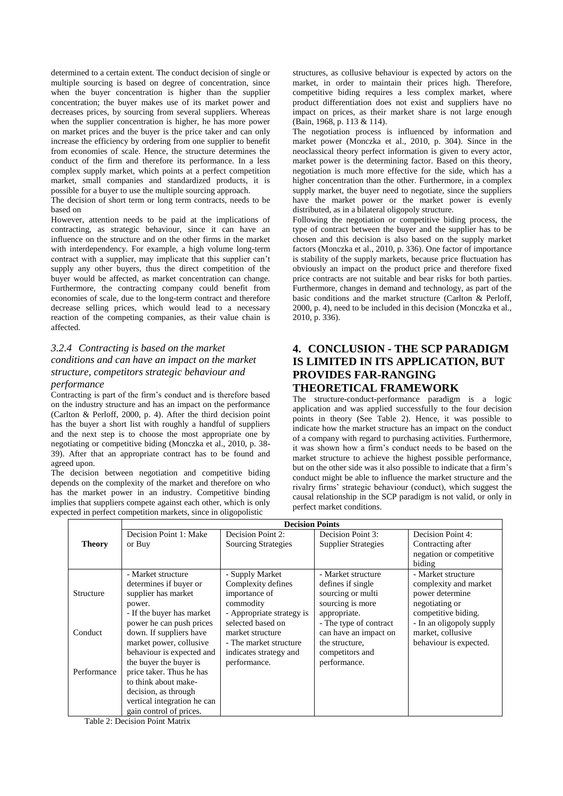determined to a certain extent. The conduct decision of single or multiple sourcing is based on degree of concentration, since when the buyer concentration is higher than the supplier concentration; the buyer makes use of its market power and decreases prices, by sourcing from several suppliers. Whereas when the supplier concentration is higher, he has more power on market prices and the buyer is the price taker and can only increase the efficiency by ordering from one supplier to benefit from economies of scale. Hence, the structure determines the conduct of the firm and therefore its performance. In a less complex supply market, which points at a perfect competition market, small companies and standardized products, it is possible for a buyer to use the multiple sourcing approach.

The decision of short term or long term contracts, needs to be based on

However, attention needs to be paid at the implications of contracting, as strategic behaviour, since it can have an influence on the structure and on the other firms in the market with interdependency. For example, a high volume long-term contract with a supplier, may implicate that this supplier can't supply any other buyers, thus the direct competition of the buyer would be affected, as market concentration can change. Furthermore, the contracting company could benefit from economies of scale, due to the long-term contract and therefore decrease selling prices, which would lead to a necessary reaction of the competing companies, as their value chain is affected.

# *3.2.4 Contracting is based on the market conditions and can have an impact on the market structure, competitors strategic behaviour and*

#### *performance*

Contracting is part of the firm's conduct and is therefore based on the industry structure and has an impact on the performance (Carlton & Perloff, 2000, p. 4). After the third decision point has the buyer a short list with roughly a handful of suppliers and the next step is to choose the most appropriate one by negotiating or competitive biding (Monczka et al., 2010, p. 38- 39). After that an appropriate contract has to be found and agreed upon.

The decision between negotiation and competitive biding depends on the complexity of the market and therefore on who has the market power in an industry. Competitive binding implies expected

structures, as collusive behaviour is expected by actors on the market, in order to maintain their prices high. Therefore, competitive biding requires a less complex market, where product differentiation does not exist and suppliers have no impact on prices, as their market share is not large enough (Bain, 1968, p. 113 & 114).

The negotiation process is influenced by information and market power (Monczka et al., 2010, p. 304). Since in the neoclassical theory perfect information is given to every actor, market power is the determining factor. Based on this theory, negotiation is much more effective for the side, which has a higher concentration than the other. Furthermore, in a complex supply market, the buyer need to negotiate, since the suppliers have the market power or the market power is evenly distributed, as in a bilateral oligopoly structure.

Following the negotiation or competitive biding process, the type of contract between the buyer and the supplier has to be chosen and this decision is also based on the supply market factors (Monczka et al., 2010, p. 336). One factor of importance is stability of the supply markets, because price fluctuation has obviously an impact on the product price and therefore fixed price contracts are not suitable and bear risks for both parties. Furthermore, changes in demand and technology, as part of the basic conditions and the market structure (Carlton & Perloff, 2000, p. 4), need to be included in this decision (Monczka et al., 2010, p. 336).

# **4. CONCLUSION - THE SCP PARADIGM IS LIMITED IN ITS APPLICATION, BUT PROVIDES FAR-RANGING THEORETICAL FRAMEWORK**

#### The structure-conduct-performance paradigm is a logic application and was applied successfully to the four decision points in theory (See Table 2). Hence, it was possible to indicate how the market structure has an impact on the conduct of a company with regard to purchasing activities. Furthermore, it was shown how a firm's conduct needs to be based on the market structure to achieve the highest possible performance, but on the other side was it also possible to indicate that a firm's conduct might be able to influence the market structure and the rivalry firms' strategic behaviour (conduct), which suggest the

|               | <b>Decision Points</b>                                                                                                                 |                                                                                                                       |                                                                                                                            |                                                                                                                                     |  |
|---------------|----------------------------------------------------------------------------------------------------------------------------------------|-----------------------------------------------------------------------------------------------------------------------|----------------------------------------------------------------------------------------------------------------------------|-------------------------------------------------------------------------------------------------------------------------------------|--|
|               | Decision Point 1: Make                                                                                                                 | Decision Point 2:                                                                                                     | Decision Point 3:                                                                                                          | Decision Point 4:                                                                                                                   |  |
| <b>Theory</b> | or Buy                                                                                                                                 | <b>Sourcing Strategies</b>                                                                                            | <b>Supplier Strategies</b>                                                                                                 | Contracting after<br>negation or competitive<br>biding                                                                              |  |
| Structure     | - Market structure<br>determines if buyer or<br>supplier has market<br>power.<br>- If the buyer has market<br>power he can push prices | - Supply Market<br>Complexity defines<br>importance of<br>commodity<br>- Appropriate strategy is<br>selected based on | - Market structure<br>defines if single<br>sourcing or multi<br>sourcing is more<br>appropriate.<br>- The type of contract | - Market structure<br>complexity and market<br>power determine<br>negotiating or<br>competitive biding.<br>- In an oligopoly supply |  |
| Conduct       | down. If suppliers have<br>market power, collusive<br>behaviour is expected and<br>the buyer the buyer is                              | market structure<br>- The market structure<br>indicates strategy and<br>performance.                                  | can have an impact on<br>the structure.<br>competitors and<br>performance.                                                 | market, collusive<br>behaviour is expected.                                                                                         |  |
| Performance   | price taker. Thus he has<br>to think about make-<br>decision, as through<br>vertical integration he can<br>gain control of prices.     |                                                                                                                       |                                                                                                                            |                                                                                                                                     |  |

Table 2: Decision Point Matrix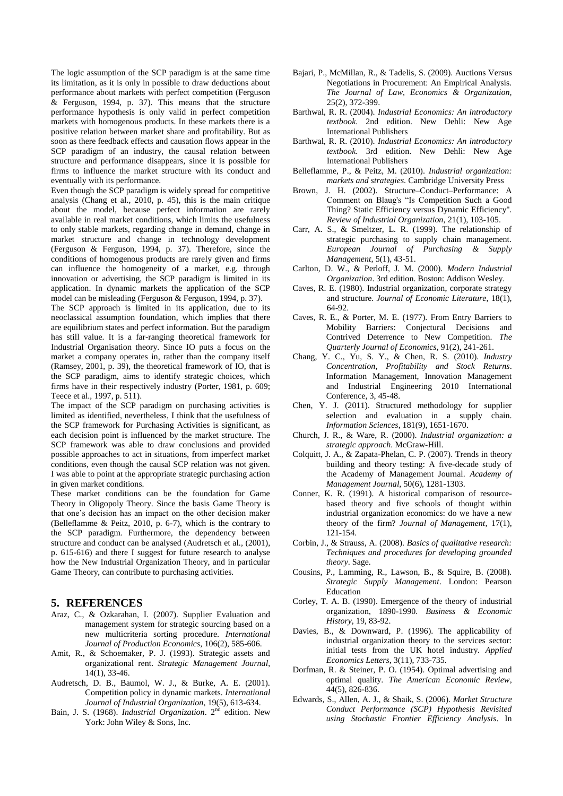The logic assumption of the SCP paradigm is at the same time its limitation, as it is only in possible to draw deductions about performance about markets with perfect competition (Ferguson & Ferguson, 1994, p. 37). This means that the structure performance hypothesis is only valid in perfect competition markets with homogenous products. In these markets there is a positive relation between market share and profitability. But as soon as there feedback effects and causation flows appear in the SCP paradigm of an industry, the causal relation between structure and performance disappears, since it is possible for firms to influence the market structure with its conduct and eventually with its performance.

Even though the SCP paradigm is widely spread for competitive analysis (Chang et al., 2010, p. 45), this is the main critique about the model, because perfect information are rarely available in real market conditions, which limits the usefulness to only stable markets, regarding change in demand, change in market structure and change in technology development (Ferguson & Ferguson, 1994, p. 37). Therefore, since the conditions of homogenous products are rarely given and firms can influence the homogeneity of a market, e.g. through innovation or advertising, the SCP paradigm is limited in its application. In dynamic markets the application of the SCP model can be misleading (Ferguson & Ferguson, 1994, p. 37).

The SCP approach is limited in its application, due to its neoclassical assumption foundation, which implies that there are equilibrium states and perfect information. But the paradigm has still value. It is a far-ranging theoretical framework for Industrial Organisation theory. Since IO puts a focus on the market a company operates in, rather than the company itself (Ramsey, 2001, p. 39), the theoretical framework of IO, that is the SCP paradigm, aims to identify strategic choices, which firms have in their respectively industry (Porter, 1981, p. 609; Teece et al., 1997, p. 511).

The impact of the SCP paradigm on purchasing activities is limited as identified, nevertheless, I think that the usefulness of the SCP framework for Purchasing Activities is significant, as each decision point is influenced by the market structure. The SCP framework was able to draw conclusions and provided possible approaches to act in situations, from imperfect market conditions, even though the causal SCP relation was not given. I was able to point at the appropriate strategic purchasing action in given market conditions.

These market conditions can be the foundation for Game Theory in Oligopoly Theory. Since the basis Game Theory is that one's decision has an impact on the other decision maker (Belleflamme & Peitz, 2010, p. 6-7), which is the contrary to the SCP paradigm. Furthermore, the dependency between structure and conduct can be analysed (Audretsch et al., (2001), p. 615-616) and there I suggest for future research to analyse how the New Industrial Organization Theory, and in particular Game Theory, can contribute to purchasing activities.

#### **5. REFERENCES**

- Araz, C., & Ozkarahan, I. (2007). Supplier Evaluation and management system for strategic sourcing based on a new multicriteria sorting procedure. *International Journal of Production Economics*, 106(2), 585-606.
- Amit, R., & Schoemaker, P. J. (1993). Strategic assets and organizational rent. *Strategic Management Journal*, 14(1), 33-46.
- Audretsch, D. B., Baumol, W. J., & Burke, A. E. (2001). Competition policy in dynamic markets. *International Journal of Industrial Organization*, 19(5), 613-634.
- Bain, J. S. (1968). *Industrial Organization*. 2<sup>nd</sup> edition. New York: John Wiley & Sons, Inc.
- Bajari, P., McMillan, R., & Tadelis, S. (2009). Auctions Versus Negotiations in Procurement: An Empirical Analysis. *The Journal of Law, Economics & Organization,* 25(2), 372-399.
- Barthwal, R. R. (2004). *Industrial Economics: An introductory textbook*. 2nd edition. New Dehli: New Age International Publishers
- Barthwal, R. R. (2010). *Industrial Economics: An introductory textbook*. 3rd edition. New Dehli: New Age International Publishers
- Belleflamme, P., & Peitz, M. (2010). *Industrial organization: markets and strategies*. Cambridge University Press
- Brown, J. H. (2002). Structure–Conduct–Performance: A Comment on Blaug's "Is Competition Such a Good Thing? Static Efficiency versus Dynamic Efficiency''. *Review of Industrial Organization*, 21(1), 103-105.
- Carr, A. S., & Smeltzer, L. R. (1999). The relationship of strategic purchasing to supply chain management. *European Journal of Purchasing & Supply Management*, 5(1), 43-51.
- Carlton, D. W., & Perloff, J. M. (2000). *Modern Industrial Organization*. 3rd edition. Boston: Addison Wesley.
- Caves, R. E. (1980). Industrial organization, corporate strategy and structure. *Journal of Economic Literature*, 18(1), 64-92.
- Caves, R. E., & Porter, M. E. (1977). From Entry Barriers to Mobility Barriers: Conjectural Decisions and Contrived Deterrence to New Competition. *The Quarterly Journal of Economics*, 91(2), 241-261.
- Chang, Y. C., Yu, S. Y., & Chen, R. S. (2010). *Industry Concentration, Profitability and Stock Returns*. Information Management, Innovation Management and Industrial Engineering 2010 International Conference, 3, 45-48.
- Chen, Y. J. (2011). Structured methodology for supplier selection and evaluation in a supply chain. *Information Sciences*, 181(9), 1651-1670.
- Church, J. R., & Ware, R. (2000). *Industrial organization: a strategic approach*. McGraw-Hill.
- Colquitt, J. A., & Zapata-Phelan, C. P. (2007). Trends in theory building and theory testing: A five-decade study of the Academy of Management Journal. *Academy of Management Journal*, 50(6), 1281-1303.
- Conner, K. R. (1991). A historical comparison of resourcebased theory and five schools of thought within industrial organization economics: do we have a new theory of the firm? *Journal of Management*, 17(1), 121-154.
- Corbin, J., & Strauss, A. (2008). *Basics of qualitative research: Techniques and procedures for developing grounded theory*. Sage.
- Cousins, P., Lamming, R., Lawson, B., & Squire, B. (2008). *Strategic Supply Management*. London: Pearson Education
- Corley, T. A. B. (1990). Emergence of the theory of industrial organization, 1890-1990. *Business & Economic History*, 19, 83-92.
- Davies, B., & Downward, P. (1996). The applicability of industrial organization theory to the services sector: initial tests from the UK hotel industry. *Applied Economics Letters*, 3(11), 733-735.
- Dorfman, R. & Steiner, P. O. (1954). Optimal advertising and optimal quality. *The American Economic Review*, 44(5), 826-836.
- Edwards, S., Allen, A. J., & Shaik, S. (2006). *Market Structure Conduct Performance (SCP) Hypothesis Revisited using Stochastic Frontier Efficiency Analysis*. In